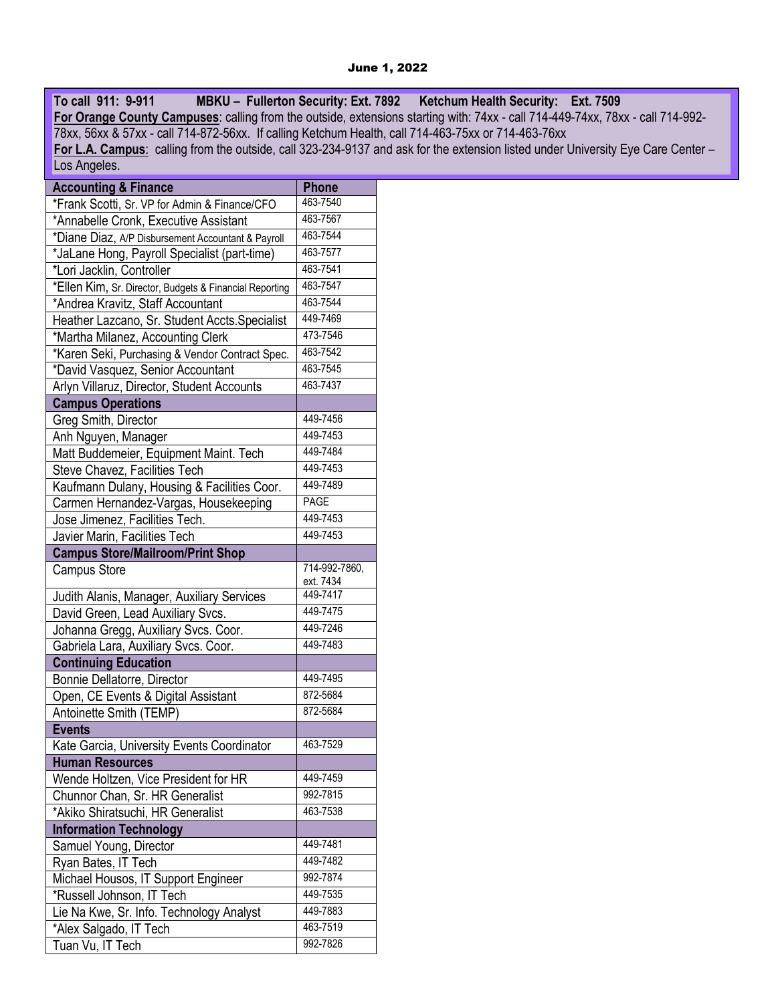To call 911: 9-911 MBKU – Fullerton Security: Ext. 7892 Ketchum Health Security: Ext. 7509 **For Orange County Campuses**: calling from the outside, extensions starting with: 74xx - call 714-449-74xx, 78xx - call 714-992- 78xx, 56xx & 57xx - call 714-872-56xx. If calling Ketchum Health, call 714-463-75xx or 714-463-76xx **For L.A. Campus**: calling from the outside, call 323-234-9137 and ask for the extension listed under University Eye Care Center – Los Angeles.

| <b>Accounting &amp; Finance</b>                         | <b>Phone</b>               |
|---------------------------------------------------------|----------------------------|
|                                                         | 463-7540                   |
| *Frank Scotti, Sr. VP for Admin & Finance/CFO           | 463-7567                   |
| *Annabelle Cronk, Executive Assistant                   | 463-7544                   |
| *Diane Diaz, A/P Disbursement Accountant & Payroll      | 463-7577                   |
| *JaLane Hong, Payroll Specialist (part-time)            | 463-7541                   |
| *Lori Jacklin, Controller                               | 463-7547                   |
| *Ellen Kim, Sr. Director, Budgets & Financial Reporting | 463-7544                   |
| *Andrea Kravitz, Staff Accountant                       |                            |
| Heather Lazcano, Sr. Student Accts. Specialist          | 449-7469<br>473-7546       |
| *Martha Milanez, Accounting Clerk                       |                            |
| *Karen Seki, Purchasing & Vendor Contract Spec.         | 463-7542                   |
| *David Vasquez, Senior Accountant                       | 463-7545                   |
| Arlyn Villaruz, Director, Student Accounts              | 463-7437                   |
| <b>Campus Operations</b>                                |                            |
| Greg Smith, Director                                    | 449-7456                   |
| Anh Nguyen, Manager                                     | 449-7453                   |
| Matt Buddemeier, Equipment Maint. Tech                  | 449-7484                   |
| Steve Chavez, Facilities Tech                           | 449-7453                   |
| Kaufmann Dulany, Housing & Facilities Coor.             | 449-7489                   |
| Carmen Hernandez-Vargas, Housekeeping                   | <b>PAGE</b>                |
| Jose Jimenez, Facilities Tech.                          | 449-7453                   |
| Javier Marin, Facilities Tech                           | 449-7453                   |
| <b>Campus Store/Mailroom/Print Shop</b>                 |                            |
| <b>Campus Store</b>                                     | 714-992-7860,<br>ext. 7434 |
| Judith Alanis, Manager, Auxiliary Services              | 449-7417                   |
| David Green, Lead Auxiliary Svcs.                       | 449-7475                   |
| Johanna Gregg, Auxiliary Svcs. Coor.                    | 449-7246                   |
| Gabriela Lara, Auxiliary Svcs. Coor.                    | 449-7483                   |
| <b>Continuing Education</b>                             |                            |
| Bonnie Dellatorre, Director                             | 449-7495                   |
| Open, CE Events & Digital Assistant                     | 872-5684                   |
| Antoinette Smith (TEMP)                                 | 872-5684                   |
| <b>Events</b>                                           |                            |
| Kate Garcia, University Events Coordinator              | 463-7529                   |
| <b>Human Resources</b>                                  |                            |
| Wende Holtzen, Vice President for HR                    | 449-7459                   |
| Chunnor Chan, Sr. HR Generalist                         | 992-7815                   |
| *Akiko Shiratsuchi, HR Generalist                       | 463-7538                   |
| <b>Information Technology</b>                           |                            |
| Samuel Young, Director                                  | 449-7481                   |
|                                                         | 449-7482                   |
| Ryan Bates, IT Tech                                     | 992-7874                   |
| Michael Housos, IT Support Engineer                     | 449-7535                   |
| *Russell Johnson, IT Tech                               | 449-7883                   |
| Lie Na Kwe, Sr. Info. Technology Analyst                |                            |
| *Alex Salgado, IT Tech                                  | 463-7519                   |
| Tuan Vu, IT Tech                                        | 992-7826                   |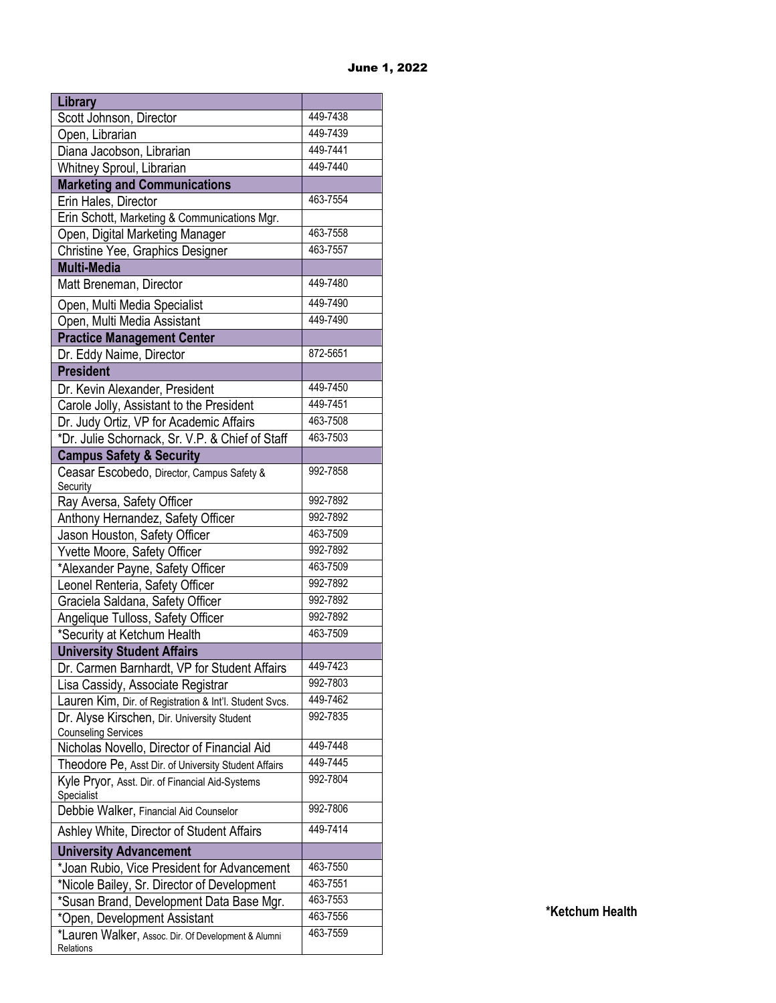| Library                                                                   |          |
|---------------------------------------------------------------------------|----------|
| Scott Johnson, Director                                                   | 449-7438 |
| Open, Librarian                                                           | 449-7439 |
| Diana Jacobson, Librarian                                                 | 449-7441 |
| Whitney Sproul, Librarian                                                 | 449-7440 |
| <b>Marketing and Communications</b>                                       |          |
| Erin Hales, Director                                                      | 463-7554 |
| Erin Schott, Marketing & Communications Mgr.                              |          |
| Open, Digital Marketing Manager                                           | 463-7558 |
| Christine Yee, Graphics Designer                                          | 463-7557 |
| <b>Multi-Media</b>                                                        |          |
| Matt Breneman, Director                                                   | 449-7480 |
| Open, Multi Media Specialist                                              | 449-7490 |
| Open, Multi Media Assistant                                               | 449-7490 |
| <b>Practice Management Center</b>                                         |          |
| Dr. Eddy Naime, Director                                                  | 872-5651 |
| <b>President</b>                                                          |          |
| Dr. Kevin Alexander, President                                            | 449-7450 |
| Carole Jolly, Assistant to the President                                  | 449-7451 |
| Dr. Judy Ortiz, VP for Academic Affairs                                   | 463-7508 |
| *Dr. Julie Schornack, Sr. V.P. & Chief of Staff                           | 463-7503 |
| <b>Campus Safety &amp; Security</b>                                       |          |
| Ceasar Escobedo, Director, Campus Safety &<br>Security                    | 992-7858 |
| Ray Aversa, Safety Officer                                                | 992-7892 |
| Anthony Hernandez, Safety Officer                                         | 992-7892 |
| Jason Houston, Safety Officer                                             | 463-7509 |
| Yvette Moore, Safety Officer                                              | 992-7892 |
| *Alexander Payne, Safety Officer                                          | 463-7509 |
| Leonel Renteria, Safety Officer                                           | 992-7892 |
| Graciela Saldana, Safety Officer                                          | 992-7892 |
| Angelique Tulloss, Safety Officer                                         | 992-7892 |
| *Security at Ketchum Health                                               | 463-7509 |
| <b>University Student Affairs</b>                                         |          |
| Dr. Carmen Barnhardt, VP for Student Affairs                              | 449-7423 |
| Lisa Cassidy, Associate Registrar                                         | 992-7803 |
| Lauren Kim, Dir. of Registration & Int'l. Student Svcs.                   | 449-7462 |
| Dr. Alyse Kirschen, Dir. University Student<br><b>Counseling Services</b> | 992-7835 |
| Nicholas Novello, Director of Financial Aid                               | 449-7448 |
| Theodore Pe, Asst Dir. of University Student Affairs                      | 449-7445 |
| Kyle Pryor, Asst. Dir. of Financial Aid-Systems<br>Specialist             | 992-7804 |
| Debbie Walker, Financial Aid Counselor                                    | 992-7806 |
| Ashley White, Director of Student Affairs                                 | 449-7414 |
| <b>University Advancement</b>                                             |          |
| *Joan Rubio, Vice President for Advancement                               | 463-7550 |
| *Nicole Bailey, Sr. Director of Development                               | 463-7551 |
| *Susan Brand, Development Data Base Mgr.                                  | 463-7553 |
| *Open, Development Assistant                                              | 463-7556 |
| *Lauren Walker, Assoc. Dir. Of Development & Alumni<br>Relations          | 463-7559 |

 **\*Ketchum Health**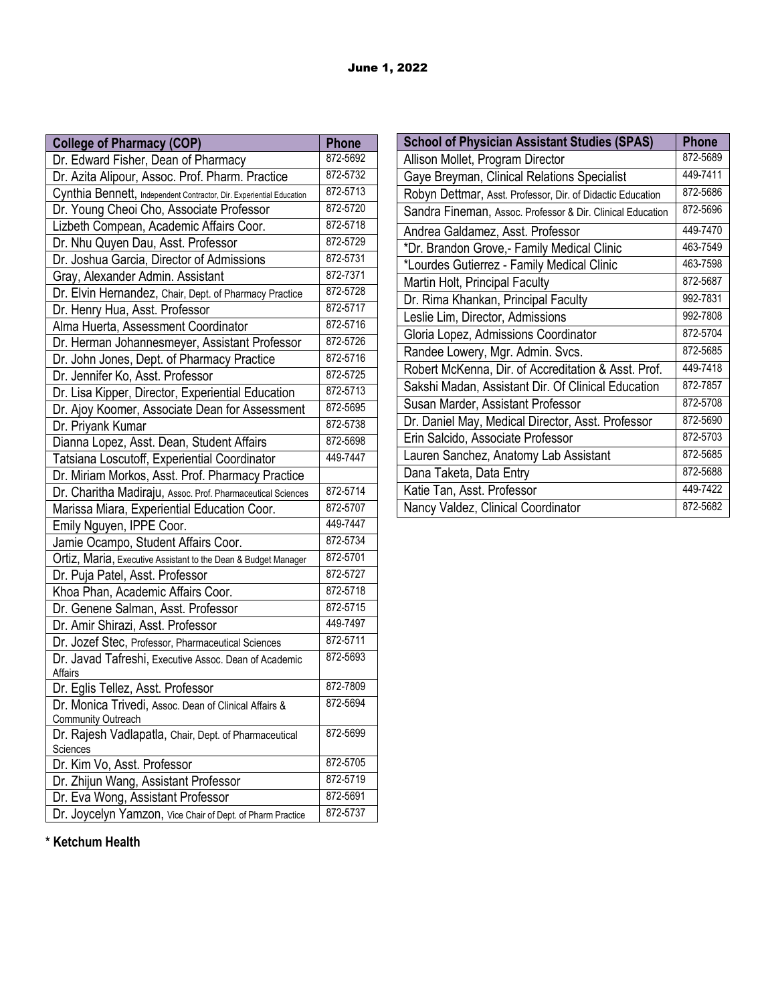| <b>College of Pharmacy (COP)</b>                                     | <b>Phone</b> |
|----------------------------------------------------------------------|--------------|
| Dr. Edward Fisher, Dean of Pharmacy                                  | 872-5692     |
| Dr. Azita Alipour, Assoc. Prof. Pharm. Practice                      | 872-5732     |
| Cynthia Bennett, Independent Contractor, Dir. Experiential Education | 872-5713     |
| Dr. Young Cheoi Cho, Associate Professor                             | 872-5720     |
| Lizbeth Compean, Academic Affairs Coor.                              | 872-5718     |
| Dr. Nhu Quyen Dau, Asst. Professor                                   | 872-5729     |
| Dr. Joshua Garcia, Director of Admissions                            | 872-5731     |
| Gray, Alexander Admin. Assistant                                     | 872-7371     |
| Dr. Elvin Hernandez, Chair, Dept. of Pharmacy Practice               | 872-5728     |
| Dr. Henry Hua, Asst. Professor                                       | 872-5717     |
| Alma Huerta, Assessment Coordinator                                  | 872-5716     |
| Dr. Herman Johannesmeyer, Assistant Professor                        | 872-5726     |
| Dr. John Jones, Dept. of Pharmacy Practice                           | 872-5716     |
| Dr. Jennifer Ko, Asst. Professor                                     | 872-5725     |
| Dr. Lisa Kipper, Director, Experiential Education                    | 872-5713     |
| Dr. Ajoy Koomer, Associate Dean for Assessment                       | 872-5695     |
| Dr. Priyank Kumar                                                    | 872-5738     |
| Dianna Lopez, Asst. Dean, Student Affairs                            | 872-5698     |
| Tatsiana Loscutoff, Experiential Coordinator                         | 449-7447     |
| Dr. Miriam Morkos, Asst. Prof. Pharmacy Practice                     |              |
| Dr. Charitha Madiraju, Assoc. Prof. Pharmaceutical Sciences          | 872-5714     |
| Marissa Miara, Experiential Education Coor.                          | 872-5707     |
| Emily Nguyen, IPPE Coor.                                             | 449-7447     |
| Jamie Ocampo, Student Affairs Coor.                                  | 872-5734     |
| Ortiz, Maria, Executive Assistant to the Dean & Budget Manager       | 872-5701     |
| Dr. Puja Patel, Asst. Professor                                      | 872-5727     |
| Khoa Phan, Academic Affairs Coor.                                    | 872-5718     |
| Dr. Genene Salman, Asst. Professor                                   | 872-5715     |
| Dr. Amir Shirazi, Asst. Professor                                    | 449-7497     |
| Dr. Jozef Stec, Professor, Pharmaceutical Sciences                   | 872-5711     |
| Dr. Javad Tafreshi, Executive Assoc. Dean of Academic                | 872-5693     |
| Affairs                                                              |              |
| Dr. Eglis Tellez, Asst. Professor                                    | 872-7809     |
| Dr. Monica Trivedi, Assoc. Dean of Clinical Affairs &                | 872-5694     |
| Community Outreach                                                   | 872-5699     |
| Dr. Rajesh Vadlapatla, Chair, Dept. of Pharmaceutical<br>Sciences    |              |
| Dr. Kim Vo, Asst. Professor                                          | 872-5705     |
| Dr. Zhijun Wang, Assistant Professor                                 | 872-5719     |
| Dr. Eva Wong, Assistant Professor                                    | 872-5691     |
| Dr. Joycelyn Yamzon, Vice Chair of Dept. of Pharm Practice           | 872-5737     |

| <b>School of Physician Assistant Studies (SPAS)</b>        | <b>Phone</b> |
|------------------------------------------------------------|--------------|
| Allison Mollet, Program Director                           | 872-5689     |
| Gaye Breyman, Clinical Relations Specialist                | 449-7411     |
| Robyn Dettmar, Asst. Professor, Dir. of Didactic Education | 872-5686     |
| Sandra Fineman, Assoc. Professor & Dir. Clinical Education | 872-5696     |
| Andrea Galdamez, Asst. Professor                           | 449-7470     |
| *Dr. Brandon Grove,- Family Medical Clinic                 | 463-7549     |
| *Lourdes Gutierrez - Family Medical Clinic                 | 463-7598     |
| Martin Holt, Principal Faculty                             | 872-5687     |
| Dr. Rima Khankan, Principal Faculty                        | 992-7831     |
| Leslie Lim, Director, Admissions                           | 992-7808     |
| Gloria Lopez, Admissions Coordinator                       | 872-5704     |
| Randee Lowery, Mgr. Admin. Svcs.                           | 872-5685     |
| Robert McKenna, Dir. of Accreditation & Asst. Prof.        | 449-7418     |
| Sakshi Madan, Assistant Dir. Of Clinical Education         | 872-7857     |
| Susan Marder, Assistant Professor                          | 872-5708     |
| Dr. Daniel May, Medical Director, Asst. Professor          | 872-5690     |
| Erin Salcido, Associate Professor                          | 872-5703     |
| Lauren Sanchez, Anatomy Lab Assistant                      | 872-5685     |
| Dana Taketa, Data Entry                                    | 872-5688     |
| Katie Tan, Asst. Professor                                 | 449-7422     |
| Nancy Valdez, Clinical Coordinator                         | 872-5682     |

# **\* Ketchum Health**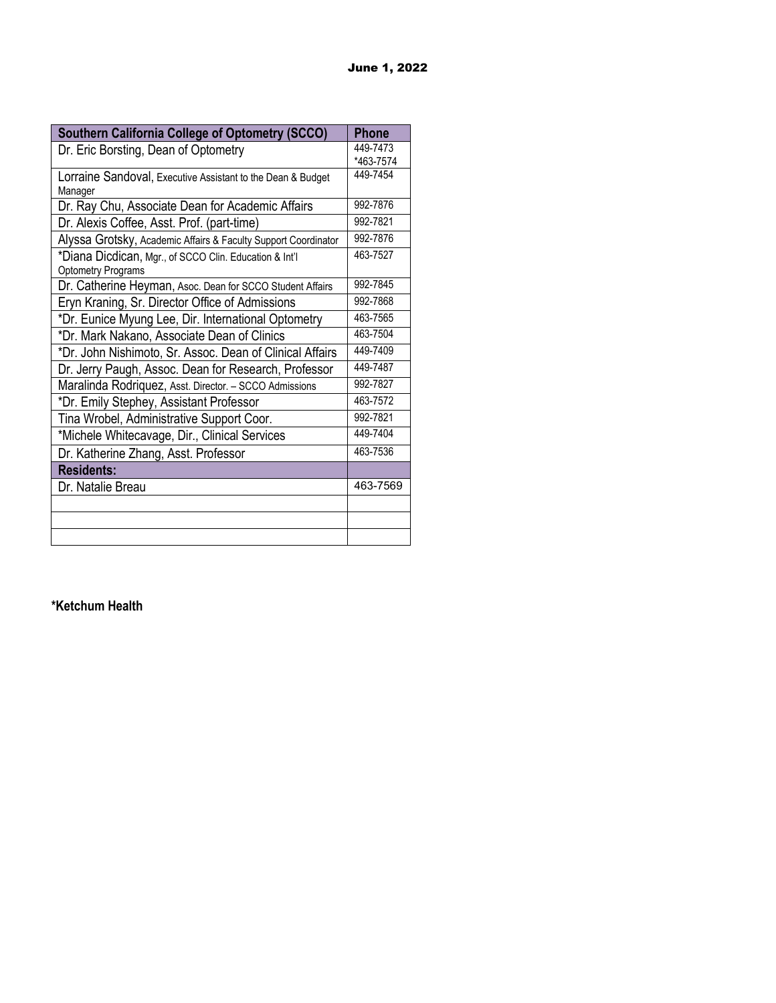| <b>Southern California College of Optometry (SCCO)</b>         | <b>Phone</b> |
|----------------------------------------------------------------|--------------|
| Dr. Eric Borsting, Dean of Optometry                           | 449-7473     |
|                                                                | *463-7574    |
| Lorraine Sandoval, Executive Assistant to the Dean & Budget    | 449-7454     |
| Manager                                                        |              |
| Dr. Ray Chu, Associate Dean for Academic Affairs               | 992-7876     |
| Dr. Alexis Coffee, Asst. Prof. (part-time)                     | 992-7821     |
| Alyssa Grotsky, Academic Affairs & Faculty Support Coordinator | 992-7876     |
| *Diana Dicdican, Mgr., of SCCO Clin. Education & Int'l         | 463-7527     |
| <b>Optometry Programs</b>                                      |              |
| Dr. Catherine Heyman, Asoc. Dean for SCCO Student Affairs      | 992-7845     |
| Eryn Kraning, Sr. Director Office of Admissions                | 992-7868     |
| *Dr. Eunice Myung Lee, Dir. International Optometry            | 463-7565     |
| *Dr. Mark Nakano, Associate Dean of Clinics                    | 463-7504     |
| *Dr. John Nishimoto, Sr. Assoc. Dean of Clinical Affairs       | 449-7409     |
| Dr. Jerry Paugh, Assoc. Dean for Research, Professor           | 449-7487     |
| Maralinda Rodriquez, Asst. Director. - SCCO Admissions         | 992-7827     |
| *Dr. Emily Stephey, Assistant Professor                        | 463-7572     |
| Tina Wrobel, Administrative Support Coor.                      | 992-7821     |
| *Michele Whitecavage, Dir., Clinical Services                  | 449-7404     |
| Dr. Katherine Zhang, Asst. Professor                           | 463-7536     |
| <b>Residents:</b>                                              |              |
| Dr. Natalie Breau                                              | 463-7569     |
|                                                                |              |
|                                                                |              |
|                                                                |              |

**\*Ketchum Health**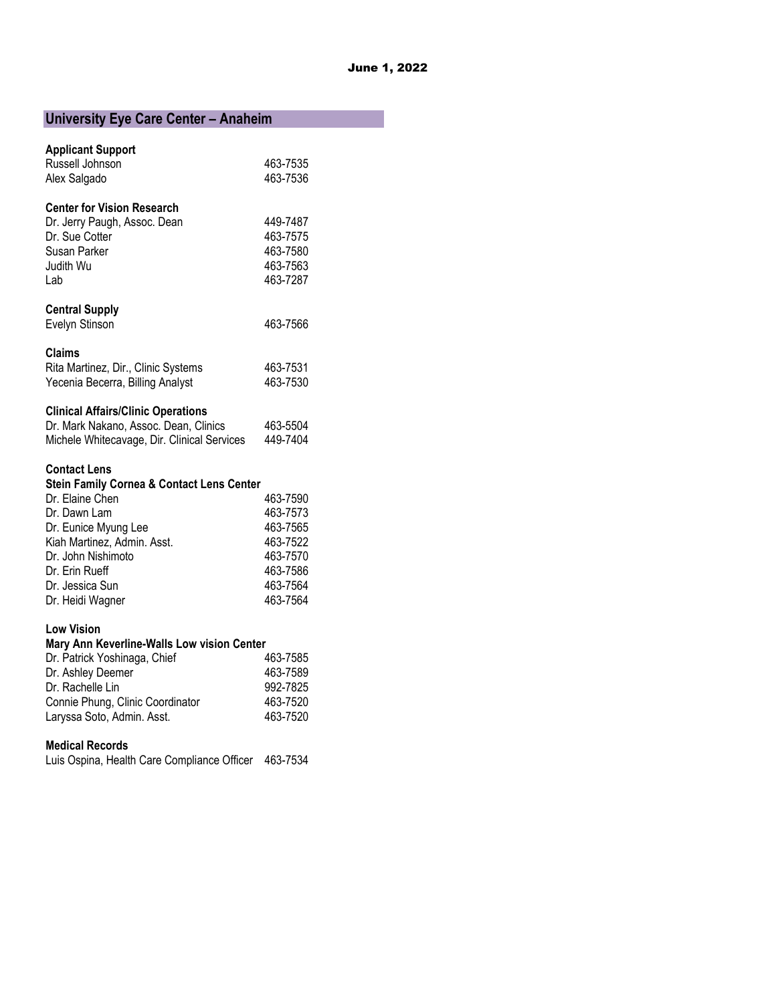# **University Eye Care Center – Anaheim**

| <b>Applicant Support</b><br>Russell Johnson<br>Alex Salgado                                                                                                                                                                                          | 463-7535<br>463-7536                                                                         |
|------------------------------------------------------------------------------------------------------------------------------------------------------------------------------------------------------------------------------------------------------|----------------------------------------------------------------------------------------------|
| <b>Center for Vision Research</b><br>Dr. Jerry Paugh, Assoc. Dean<br>Dr. Sue Cotter<br>Susan Parker<br>Judith Wu<br>Lab                                                                                                                              | 449-7487<br>463-7575<br>463-7580<br>463-7563<br>463-7287                                     |
| <b>Central Supply</b><br>Evelyn Stinson                                                                                                                                                                                                              | 463-7566                                                                                     |
| Claims<br>Rita Martinez, Dir., Clinic Systems<br>Yecenia Becerra, Billing Analyst                                                                                                                                                                    | 463-7531<br>463-7530                                                                         |
| <b>Clinical Affairs/Clinic Operations</b><br>Dr. Mark Nakano, Assoc. Dean, Clinics<br>Michele Whitecavage, Dir. Clinical Services                                                                                                                    | 463-5504<br>449-7404                                                                         |
| <b>Contact Lens</b><br><b>Stein Family Cornea &amp; Contact Lens Center</b><br>Dr. Elaine Chen<br>Dr. Dawn Lam<br>Dr. Eunice Myung Lee<br>Kiah Martinez, Admin. Asst.<br>Dr. John Nishimoto<br>Dr. Erin Rueff<br>Dr. Jessica Sun<br>Dr. Heidi Wagner | 463-7590<br>463-7573<br>463-7565<br>463-7522<br>463-7570<br>463-7586<br>463-7564<br>463-7564 |
| <b>Low Vision</b>                                                                                                                                                                                                                                    |                                                                                              |

### **Mary Ann Keverline-Walls Low vision Center**

| Dr. Patrick Yoshinaga, Chief     | 463-7585 |
|----------------------------------|----------|
| Dr. Ashley Deemer                | 463-7589 |
| Dr. Rachelle Lin                 | 992-7825 |
| Connie Phung, Clinic Coordinator | 463-7520 |
| Laryssa Soto, Admin. Asst.       | 463-7520 |

## **Medical Records**

| 463-7534<br>Luis Ospina, Health Care Compliance Officer |
|---------------------------------------------------------|
|---------------------------------------------------------|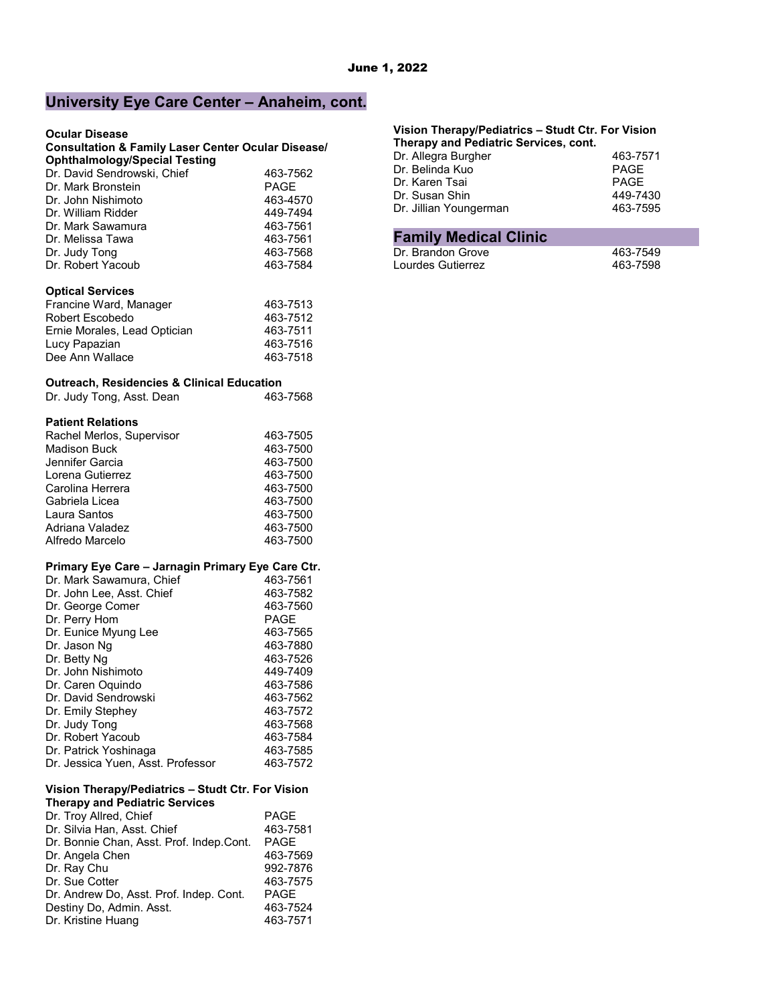# **University Eye Care Center – Anaheim, cont.**

#### **Ocular Disease**

#### **Consultation & Family Laser Center Ocular Disease/ Ophthalmology/Special Testing**

| Dr. David Sendrowski, Chief | 463-7562    |
|-----------------------------|-------------|
| Dr. Mark Bronstein          | <b>PAGE</b> |
| Dr. John Nishimoto          | 463-4570    |
| Dr. William Ridder          | 449-7494    |
| Dr. Mark Sawamura           | 463-7561    |
| Dr. Melissa Tawa            | 463-7561    |
| Dr. Judy Tong               | 463-7568    |
| Dr. Robert Yacoub           | 463-7584    |
|                             |             |

#### **Optical Services**

| Francine Ward, Manager       | 463-7513 |
|------------------------------|----------|
| Robert Escobedo              | 463-7512 |
| Ernie Morales, Lead Optician | 463-7511 |
| Lucy Papazian                | 463-7516 |
| Dee Ann Wallace              | 463-7518 |

#### **Outreach, Residencies & Clinical Education**

| Dr. Judy Tong, Asst. Dean | 463-7568 |
|---------------------------|----------|
| <b>Patient Relations</b>  |          |
| Rachel Merlos, Supervisor | 463-7505 |
| <b>Madison Buck</b>       | 463-7500 |
| Jennifer Garcia           | 463-7500 |
| Lorena Gutierrez          | 463-7500 |
| Carolina Herrera          | 463-7500 |
| Gabriela Licea            | 463-7500 |
| Laura Santos              | 463-7500 |
| Adriana Valadez           | 463-7500 |
| Alfredo Marcelo           | 463-7500 |

#### **Primary Eye Care – Jarnagin Primary Eye Care Ctr.**

| Dr. Mark Sawamura, Chief          | 463-7561 |
|-----------------------------------|----------|
| Dr. John Lee, Asst. Chief         | 463-7582 |
| Dr. George Comer                  | 463-7560 |
| Dr. Perry Hom                     | PAGE     |
| Dr. Eunice Myung Lee              | 463-7565 |
| Dr. Jason Ng                      | 463-7880 |
| Dr. Betty Ng                      | 463-7526 |
| Dr. John Nishimoto                | 449-7409 |
| Dr. Caren Oquindo                 | 463-7586 |
| Dr. David Sendrowski              | 463-7562 |
| Dr. Emily Stephey                 | 463-7572 |
| Dr. Judy Tong                     | 463-7568 |
| Dr. Robert Yacoub                 | 463-7584 |
| Dr. Patrick Yoshinaga             | 463-7585 |
| Dr. Jessica Yuen, Asst. Professor | 463-7572 |

#### **Vision Therapy/Pediatrics – Studt Ctr. For Vision Therapy and Pediatric Services**

| <b>PAGE</b> |
|-------------|
| 463-7581    |
| <b>PAGE</b> |
| 463-7569    |
| 992-7876    |
| 463-7575    |
| <b>PAGE</b> |
| 463-7524    |
| 463-7571    |
|             |

# **Vision Therapy/Pediatrics – Studt Ctr. For Vision**

| Therapy and Pediatric Services, cont. |             |
|---------------------------------------|-------------|
| Dr. Allegra Burgher                   | 463-7571    |
| Dr. Belinda Kuo                       | <b>PAGE</b> |
| Dr. Karen Tsai                        | <b>PAGE</b> |
| Dr. Susan Shin                        | 449-7430    |
| Dr. Jillian Youngerman                | 463-7595    |

# **Family Medical Clinic**

| Dr. Brandon Grove | 463-7549 |
|-------------------|----------|
| Lourdes Gutierrez | 463-7598 |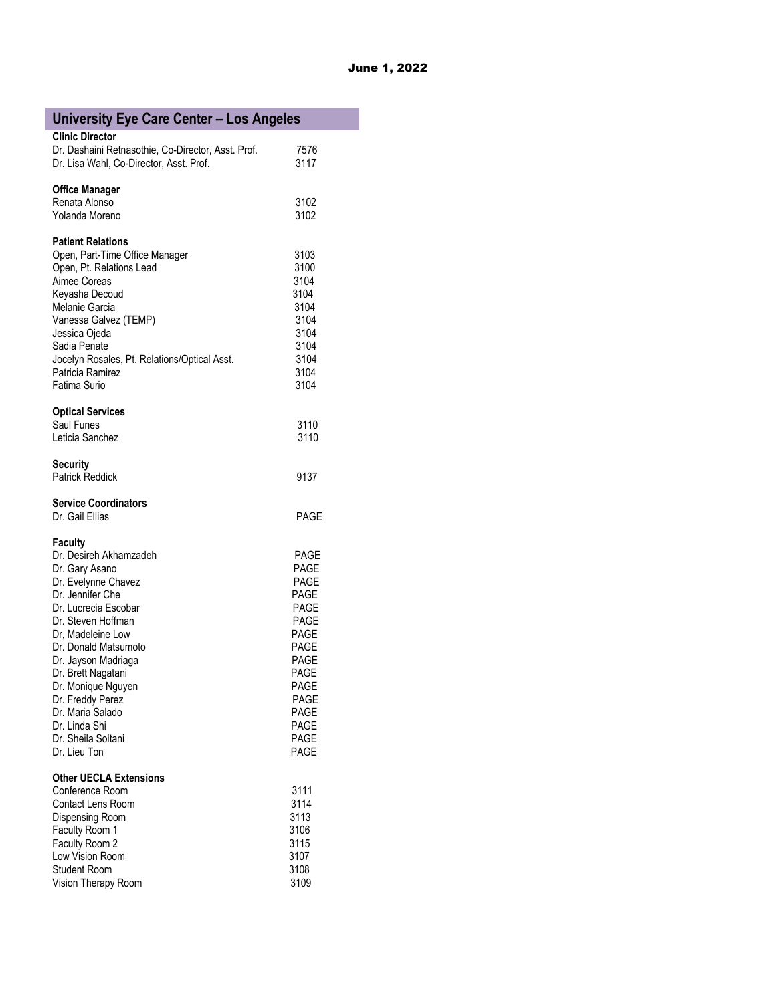# **University Eye Care Center – Los Angeles**

| <b>Clinic Director</b><br>Dr. Dashaini Retnasothie, Co-Director, Asst. Prof.<br>Dr. Lisa Wahl, Co-Director, Asst. Prof.                                                                                                                                                                                                                                            | 7576<br>3117                                                                                                                               |
|--------------------------------------------------------------------------------------------------------------------------------------------------------------------------------------------------------------------------------------------------------------------------------------------------------------------------------------------------------------------|--------------------------------------------------------------------------------------------------------------------------------------------|
| <b>Office Manager</b><br>Renata Alonso<br>Yolanda Moreno                                                                                                                                                                                                                                                                                                           | 3102<br>3102                                                                                                                               |
| <b>Patient Relations</b><br>Open, Part-Time Office Manager<br>Open, Pt. Relations Lead<br>Aimee Coreas<br>Keyasha Decoud<br>Melanie Garcia<br>Vanessa Galvez (TEMP)<br>Jessica Ojeda<br>Sadia Penate<br>Jocelyn Rosales, Pt. Relations/Optical Asst.<br>Patricia Ramirez<br>Fatima Surio                                                                           | 3103<br>3100<br>3104<br>3104<br>3104<br>3104<br>3104<br>3104<br>3104<br>3104<br>3104                                                       |
| <b>Optical Services</b><br>Saul Funes<br>Leticia Sanchez                                                                                                                                                                                                                                                                                                           | 3110<br>3110                                                                                                                               |
| Security<br><b>Patrick Reddick</b>                                                                                                                                                                                                                                                                                                                                 | 9137                                                                                                                                       |
| <b>Service Coordinators</b><br>Dr. Gail Ellias                                                                                                                                                                                                                                                                                                                     | PAGE                                                                                                                                       |
| <b>Faculty</b><br>Dr. Desireh Akhamzadeh<br>Dr. Gary Asano<br>Dr. Evelynne Chavez<br>Dr. Jennifer Che<br>Dr. Lucrecia Escobar<br>Dr. Steven Hoffman<br>Dr. Madeleine Low<br>Dr. Donald Matsumoto<br>Dr. Jayson Madriaga<br>Dr. Brett Nagatani<br>Dr. Monique Nguyen<br>Dr. Freddy Perez<br>Dr. Maria Salado<br>Dr. Linda Shi<br>Dr. Sheila Soltani<br>Dr. Lieu Ton | PAGE<br>PAGE<br><b>PAGE</b><br>PAGE<br>PAGE<br>PAGE<br>PAGE<br>PAGE<br>PAGE<br>PAGE<br>PAGE<br>PAGE<br>PAGE<br>PAGE<br><b>PAGE</b><br>PAGE |
| <b>Other UECLA Extensions</b><br>Conference Room<br>Contact Lens Room<br>Dispensing Room<br>Faculty Room 1<br>Faculty Room 2<br>Low Vision Room<br><b>Student Room</b><br>Vision Therapy Room                                                                                                                                                                      | 3111<br>3114<br>3113<br>3106<br>3115<br>3107<br>3108<br>3109                                                                               |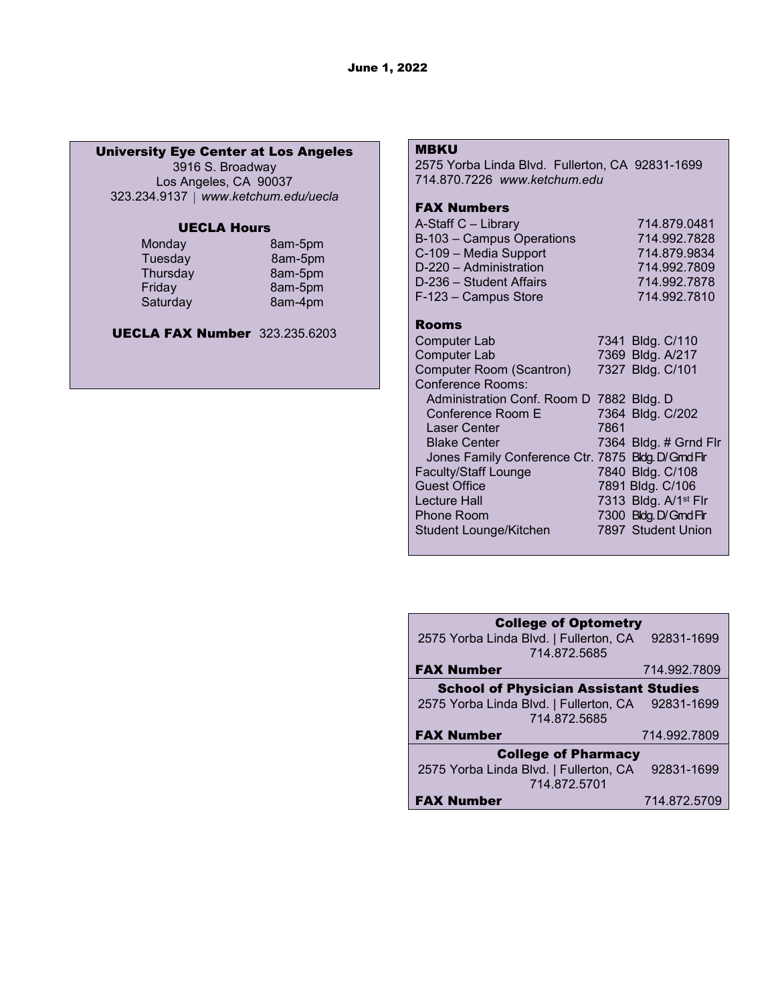### University Eye Center at Los Angeles

3916 S. Broadway Los Angeles, CA 90037 323.234.9137 | *www*.*ketchum.edu/uecla*

### UECLA Hours

| Monday   | 8am-5pm |
|----------|---------|
| Tuesday  | 8am-5pm |
| Thursday | 8am-5pm |
| Friday   | 8am-5pm |
| Saturday | 8am-4pm |

UECLA FAX Number 323.235.6203

# MBKU

2575 Yorba Linda Blvd. Fullerton, CA 92831-1699 714.870.7226 *www*.*ketchum.edu*

## FAX Numbers

| B-103 - Campus Operations<br>714.992.7828<br>C-109 - Media Support<br>714.879.9834<br>D-220 - Administration<br>714.992.7809<br>714.992.7878<br>D-236 – Student Affairs<br>714.992.7810<br>F-123 - Campus Store<br>Rooms<br>7341 Bldg. C/110<br>Computer Lab<br>7369 Bldg. A/217<br><b>Computer Lab</b><br>7327 Bldg. C/101<br>Computer Room (Scantron)<br>Conference Rooms:<br><b>Administration Conf. Room D</b><br>7882 Bldg. D<br>7364 Bldg. C/202<br>Conference Room E<br>Laser Center<br>7861<br><b>Blake Center</b><br>7364 Bldg. # Grnd Flr<br>Jones Family Conference Ctr. 7875 Bldg. D/Gmd Flr<br><b>Faculty/Staff Lounge</b><br>7840 Bldg. C/108<br><b>Guest Office</b><br>7891 Bldg. C/106<br>7313 Bldg. A/1st Flr<br><b>Lecture Hall</b> | A-Staff C - Library | 714.879.0481         |
|-------------------------------------------------------------------------------------------------------------------------------------------------------------------------------------------------------------------------------------------------------------------------------------------------------------------------------------------------------------------------------------------------------------------------------------------------------------------------------------------------------------------------------------------------------------------------------------------------------------------------------------------------------------------------------------------------------------------------------------------------------|---------------------|----------------------|
|                                                                                                                                                                                                                                                                                                                                                                                                                                                                                                                                                                                                                                                                                                                                                       |                     |                      |
|                                                                                                                                                                                                                                                                                                                                                                                                                                                                                                                                                                                                                                                                                                                                                       |                     |                      |
|                                                                                                                                                                                                                                                                                                                                                                                                                                                                                                                                                                                                                                                                                                                                                       |                     |                      |
|                                                                                                                                                                                                                                                                                                                                                                                                                                                                                                                                                                                                                                                                                                                                                       |                     |                      |
|                                                                                                                                                                                                                                                                                                                                                                                                                                                                                                                                                                                                                                                                                                                                                       |                     |                      |
|                                                                                                                                                                                                                                                                                                                                                                                                                                                                                                                                                                                                                                                                                                                                                       |                     |                      |
|                                                                                                                                                                                                                                                                                                                                                                                                                                                                                                                                                                                                                                                                                                                                                       |                     |                      |
|                                                                                                                                                                                                                                                                                                                                                                                                                                                                                                                                                                                                                                                                                                                                                       |                     |                      |
|                                                                                                                                                                                                                                                                                                                                                                                                                                                                                                                                                                                                                                                                                                                                                       |                     |                      |
|                                                                                                                                                                                                                                                                                                                                                                                                                                                                                                                                                                                                                                                                                                                                                       |                     |                      |
|                                                                                                                                                                                                                                                                                                                                                                                                                                                                                                                                                                                                                                                                                                                                                       |                     |                      |
|                                                                                                                                                                                                                                                                                                                                                                                                                                                                                                                                                                                                                                                                                                                                                       |                     |                      |
|                                                                                                                                                                                                                                                                                                                                                                                                                                                                                                                                                                                                                                                                                                                                                       |                     |                      |
|                                                                                                                                                                                                                                                                                                                                                                                                                                                                                                                                                                                                                                                                                                                                                       |                     |                      |
|                                                                                                                                                                                                                                                                                                                                                                                                                                                                                                                                                                                                                                                                                                                                                       |                     |                      |
|                                                                                                                                                                                                                                                                                                                                                                                                                                                                                                                                                                                                                                                                                                                                                       |                     |                      |
|                                                                                                                                                                                                                                                                                                                                                                                                                                                                                                                                                                                                                                                                                                                                                       |                     |                      |
|                                                                                                                                                                                                                                                                                                                                                                                                                                                                                                                                                                                                                                                                                                                                                       |                     |                      |
|                                                                                                                                                                                                                                                                                                                                                                                                                                                                                                                                                                                                                                                                                                                                                       |                     |                      |
|                                                                                                                                                                                                                                                                                                                                                                                                                                                                                                                                                                                                                                                                                                                                                       | Phone Room          | 7300 Bldg. D/Gmd Flr |
| 7897 Student Union<br>Student Lounge/Kitchen                                                                                                                                                                                                                                                                                                                                                                                                                                                                                                                                                                                                                                                                                                          |                     |                      |

| <b>College of Optometry</b>                       |              |
|---------------------------------------------------|--------------|
| 2575 Yorba Linda Blvd.   Fullerton, CA            | 92831-1699   |
| 714.872.5685                                      |              |
| <b>FAX Number</b>                                 | 714.992.7809 |
| <b>School of Physician Assistant Studies</b>      |              |
| 2575 Yorba Linda Blvd.   Fullerton, CA 92831-1699 |              |
| 714.872.5685                                      |              |
| <b>FAX Number</b>                                 | 714.992.7809 |
| <b>College of Pharmacy</b>                        |              |
| 2575 Yorba Linda Blvd.   Fullerton, CA            | 92831-1699   |
| 714.872.5701                                      |              |
| <b>FAX Number</b>                                 | 714.872.5709 |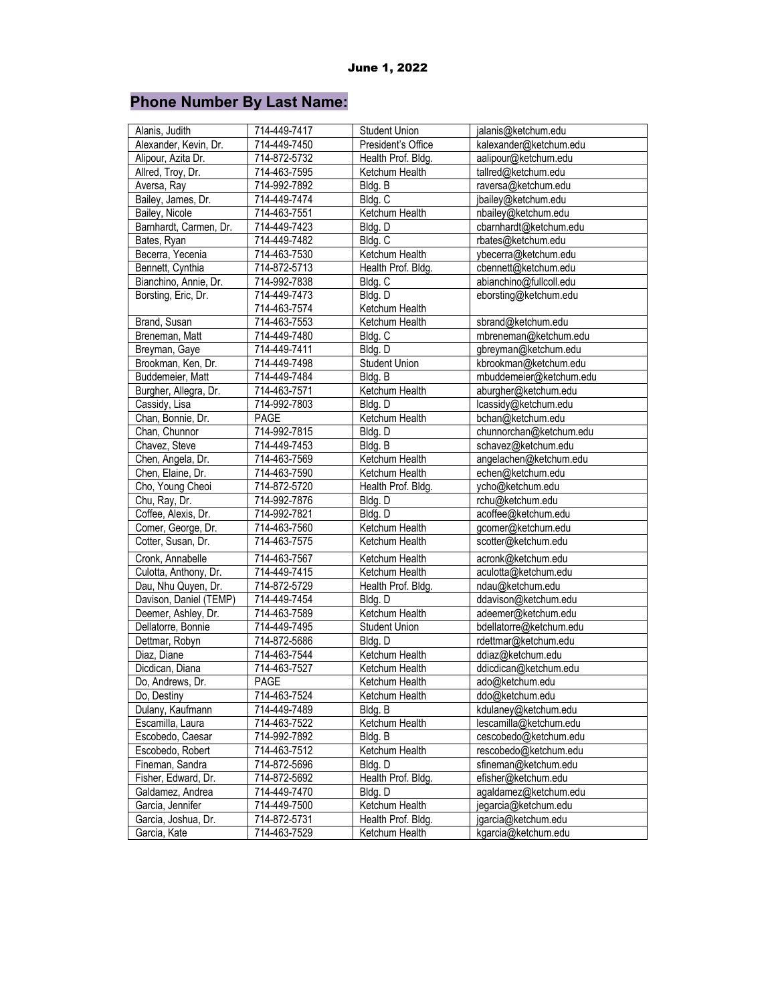# **Phone Number By Last Name:**

| Alanis, Judith         | 714-449-7417 | <b>Student Union</b> | jalanis@ketchum.edu     |
|------------------------|--------------|----------------------|-------------------------|
| Alexander, Kevin, Dr.  | 714-449-7450 | President's Office   | kalexander@ketchum.edu  |
| Alipour, Azita Dr.     | 714-872-5732 | Health Prof. Bldg.   | aalipour@ketchum.edu    |
| Allred, Troy, Dr.      | 714-463-7595 | Ketchum Health       | tallred@ketchum.edu     |
| Aversa, Ray            | 714-992-7892 | Bldg. B              | raversa@ketchum.edu     |
| Bailey, James, Dr.     | 714-449-7474 | Bldg. C              | jbailey@ketchum.edu     |
| Bailey, Nicole         | 714-463-7551 | Ketchum Health       | nbailey@ketchum.edu     |
| Barnhardt, Carmen, Dr. | 714-449-7423 | Bldg. D              | cbarnhardt@ketchum.edu  |
| Bates, Ryan            | 714-449-7482 | Bldg. C              | rbates@ketchum.edu      |
| Becerra, Yecenia       | 714-463-7530 | Ketchum Health       | ybecerra@ketchum.edu    |
| Bennett, Cynthia       | 714-872-5713 | Health Prof. Bldg.   | cbennett@ketchum.edu    |
| Bianchino, Annie, Dr.  | 714-992-7838 | Bldg. C              | abianchino@fullcoll.edu |
| Borsting, Eric, Dr.    | 714-449-7473 | Bldg. D              | eborsting@ketchum.edu   |
|                        | 714-463-7574 | Ketchum Health       |                         |
| Brand, Susan           | 714-463-7553 | Ketchum Health       | sbrand@ketchum.edu      |
| Breneman, Matt         | 714-449-7480 | Bldg. C              | mbreneman@ketchum.edu   |
| Breyman, Gaye          | 714-449-7411 | Bldg. D              | gbreyman@ketchum.edu    |
| Brookman, Ken, Dr.     | 714-449-7498 | <b>Student Union</b> | kbrookman@ketchum.edu   |
| Buddemeier, Matt       | 714-449-7484 | Bldg. B              | mbuddemeier@ketchum.edu |
| Burgher, Allegra, Dr.  | 714-463-7571 | Ketchum Health       | aburgher@ketchum.edu    |
| Cassidy, Lisa          | 714-992-7803 | Bldg. D              | lcassidy@ketchum.edu    |
| Chan, Bonnie, Dr.      | PAGE         | Ketchum Health       | bchan@ketchum.edu       |
| Chan, Chunnor          | 714-992-7815 | Bldg. D              | chunnorchan@ketchum.edu |
| Chavez, Steve          | 714-449-7453 | Bldg. B              | schavez@ketchum.edu     |
| Chen, Angela, Dr.      | 714-463-7569 | Ketchum Health       | angelachen@ketchum.edu  |
| Chen, Elaine, Dr.      | 714-463-7590 | Ketchum Health       | echen@ketchum.edu       |
| Cho, Young Cheoi       | 714-872-5720 | Health Prof. Bldg.   | ycho@ketchum.edu        |
| Chu, Ray, Dr.          | 714-992-7876 | Bldg. D              | rchu@ketchum.edu        |
| Coffee, Alexis, Dr.    | 714-992-7821 | Bldg. D              | acoffee@ketchum.edu     |
| Comer, George, Dr.     | 714-463-7560 | Ketchum Health       | gcomer@ketchum.edu      |
| Cotter, Susan, Dr.     | 714-463-7575 | Ketchum Health       | scotter@ketchum.edu     |
| Cronk, Annabelle       | 714-463-7567 | Ketchum Health       | acronk@ketchum.edu      |
| Culotta, Anthony, Dr.  | 714-449-7415 | Ketchum Health       | aculotta@ketchum.edu    |
| Dau, Nhu Quyen, Dr.    | 714-872-5729 | Health Prof. Bldg.   | ndau@ketchum.edu        |
| Davison, Daniel (TEMP) | 714-449-7454 | Bldg. D              | ddavison@ketchum.edu    |
| Deemer, Ashley, Dr.    | 714-463-7589 | Ketchum Health       | adeemer@ketchum.edu     |
| Dellatorre, Bonnie     | 714-449-7495 | <b>Student Union</b> | bdellatorre@ketchum.edu |
| Dettmar, Robyn         | 714-872-5686 | Bldg. D              | rdettmar@ketchum.edu    |
| Diaz, Diane            | 714-463-7544 | Ketchum Health       | ddiaz@ketchum.edu       |
| Dicdican, Diana        | 714-463-7527 | Ketchum Health       | ddicdican@ketchum.edu   |
| Do, Andrews, Dr.       | PAGE         | Ketchum Health       | ado@ketchum.edu         |
| Do, Destiny            | 714-463-7524 | Ketchum Health       | ddo@ketchum.edu         |
| Dulany, Kaufmann       | 714-449-7489 | Bldg. B              | kdulaney@ketchum.edu    |
| Escamilla, Laura       | 714-463-7522 | Ketchum Health       | lescamilla@ketchum.edu  |
| Escobedo, Caesar       | 714-992-7892 | Bldg. B              | cescobedo@ketchum.edu   |
| Escobedo, Robert       | 714-463-7512 | Ketchum Health       | rescobedo@ketchum.edu   |
| Fineman, Sandra        | 714-872-5696 | Bldg. D              | sfineman@ketchum.edu    |
| Fisher, Edward, Dr.    | 714-872-5692 | Health Prof. Bldg.   | efisher@ketchum.edu     |
| Galdamez, Andrea       | 714-449-7470 | Bldg. D              | agaldamez@ketchum.edu   |
| Garcia, Jennifer       | 714-449-7500 | Ketchum Health       | jegarcia@ketchum.edu    |
| Garcia, Joshua, Dr.    | 714-872-5731 | Health Prof. Bldg.   | jgarcia@ketchum.edu     |
|                        |              | Ketchum Health       |                         |
| Garcia, Kate           | 714-463-7529 |                      | kgarcia@ketchum.edu     |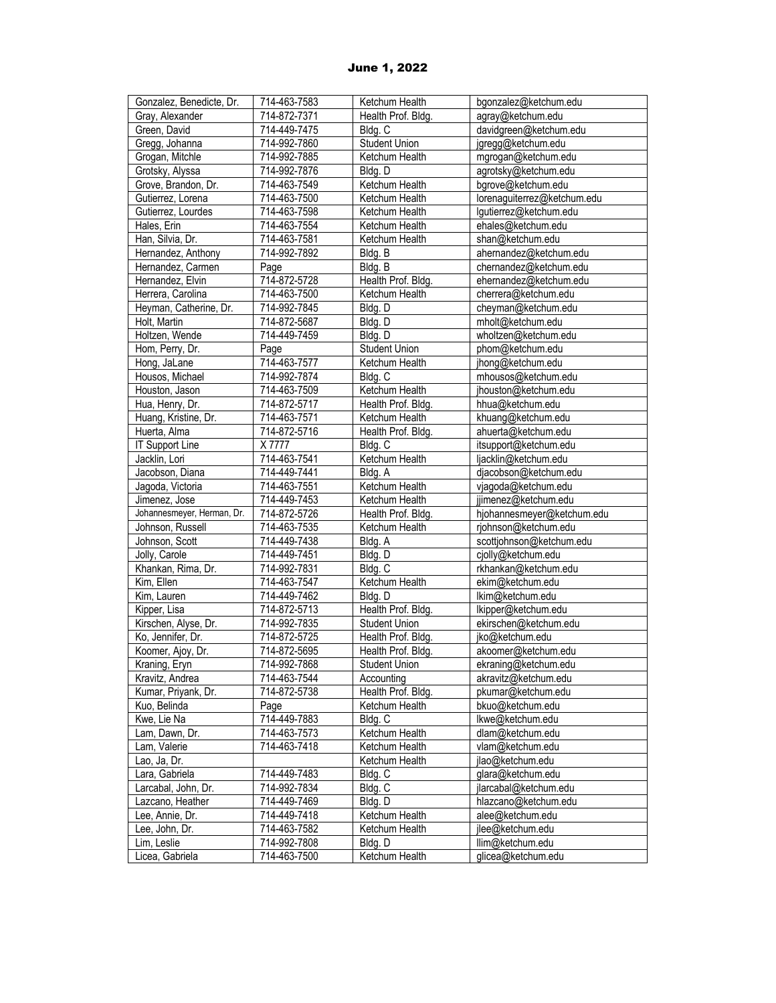| Gonzalez, Benedicte, Dr.             | 714-463-7583                 | Ketchum Health            | bgonzalez@ketchum.edu                     |
|--------------------------------------|------------------------------|---------------------------|-------------------------------------------|
| Gray, Alexander                      | 714-872-7371                 | Health Prof. Bldg.        | agray@ketchum.edu                         |
| Green, David                         | 714-449-7475                 | Bldg. C                   | davidgreen@ketchum.edu                    |
| Gregg, Johanna                       | 714-992-7860                 | <b>Student Union</b>      | jgregg@ketchum.edu                        |
| Grogan, Mitchle                      | 714-992-7885                 | Ketchum Health            | mgrogan@ketchum.edu                       |
| Grotsky, Alyssa                      | 714-992-7876                 | Bldg. D                   | agrotsky@ketchum.edu                      |
| Grove, Brandon, Dr.                  | 714-463-7549                 | Ketchum Health            | bgrove@ketchum.edu                        |
| Gutierrez, Lorena                    | 714-463-7500                 | Ketchum Health            | lorenaguiterrez@ketchum.edu               |
| Gutierrez, Lourdes                   | 714-463-7598                 | Ketchum Health            | lgutierrez@ketchum.edu                    |
| Hales, Erin                          | 714-463-7554                 | Ketchum Health            | ehales@ketchum.edu                        |
| Han, Silvia, Dr.                     | 714-463-7581                 | Ketchum Health            | shan@ketchum.edu                          |
| Hernandez, Anthony                   | 714-992-7892                 | Bldg. B                   | ahernandez@ketchum.edu                    |
| Hernandez, Carmen                    | Page                         | Bldg. B                   | chernandez@ketchum.edu                    |
| Hernandez, Elvin                     | 714-872-5728                 | Health Prof. Bldg.        | ehernandez@ketchum.edu                    |
| Herrera, Carolina                    | 714-463-7500                 | Ketchum Health            | cherrera@ketchum.edu                      |
|                                      | 714-992-7845                 |                           |                                           |
| Heyman, Catherine, Dr.               | 714-872-5687                 | Bldg. D<br>Bldg. D        | cheyman@ketchum.edu<br>mholt@ketchum.edu  |
| Holt, Martin<br>Holtzen, Wende       | 714-449-7459                 | Bldg. D                   | wholtzen@ketchum.edu                      |
| Hom, Perry, Dr.                      | Page                         | <b>Student Union</b>      | phom@ketchum.edu                          |
| Hong, JaLane                         | 714-463-7577                 | Ketchum Health            | jhong@ketchum.edu                         |
| Housos, Michael                      | 714-992-7874                 | Bldg. C                   | mhousos@ketchum.edu                       |
| Houston, Jason                       | 714-463-7509                 | Ketchum Health            | jhouston@ketchum.edu                      |
| Hua, Henry, Dr.                      | 714-872-5717                 | Health Prof. Bldg.        | hhua@ketchum.edu                          |
|                                      | 714-463-7571                 | Ketchum Health            |                                           |
| Huang, Kristine, Dr.<br>Huerta, Alma | 714-872-5716                 | Health Prof. Bldg.        | khuang@ketchum.edu<br>ahuerta@ketchum.edu |
| IT Support Line                      | X 7777                       | Bldg. C                   | itsupport@ketchum.edu                     |
| Jacklin, Lori                        | 714-463-7541                 | Ketchum Health            | ljacklin@ketchum.edu                      |
| Jacobson, Diana                      | 714-449-7441                 | Bldg. A                   | djacobson@ketchum.edu                     |
| Jagoda, Victoria                     | 714-463-7551                 | Ketchum Health            | vjagoda@ketchum.edu                       |
| Jimenez, Jose                        | 714-449-7453                 | Ketchum Health            | jjimenez@ketchum.edu                      |
| Johannesmeyer, Herman, Dr.           | 714-872-5726                 | Health Prof. Bldg.        | hjohannesmeyer@ketchum.edu                |
| Johnson, Russell                     | 714-463-7535                 | Ketchum Health            | rjohnson@ketchum.edu                      |
| Johnson, Scott                       | 714-449-7438                 | Bldg. A                   | scottjohnson@ketchum.edu                  |
| Jolly, Carole                        | 714-449-7451                 | Bldg. D                   | cjolly@ketchum.edu                        |
| Khankan, Rima, Dr.                   | 714-992-7831                 | Bldg. C                   | rkhankan@ketchum.edu                      |
| Kim, Ellen                           | 714-463-7547                 | Ketchum Health            | ekim@ketchum.edu                          |
| Kim, Lauren                          | 714-449-7462                 | Bldg. D                   | lkim@ketchum.edu                          |
| Kipper, Lisa                         | 714-872-5713                 | Health Prof. Bldg.        | lkipper@ketchum.edu                       |
| Kirschen, Alyse, Dr.                 | 714-992-7835                 | <b>Student Union</b>      | ekirschen@ketchum.edu                     |
| Ko, Jennifer, Dr.                    | 714-872-5725                 | Health Prof. Bldg.        | jko@ketchum.edu                           |
| Koomer, Ajoy, Dr.                    | 714-872-5695                 | Health Prof. Bldg.        | akoomer@ketchum.edu                       |
| Kraning, Eryn                        | 714-992-7868                 | <b>Student Union</b>      | ekraning@ketchum.edu                      |
| Kravitz, Andrea                      | 714-463-7544                 | Accounting                | akravitz@ketchum.edu                      |
| Kumar, Priyank, Dr.                  | 714-872-5738                 | Health Prof. Bldg.        | pkumar@ketchum.edu                        |
| Kuo, Belinda                         | Page                         | Ketchum Health            | bkuo@ketchum.edu                          |
| Kwe, Lie Na                          | 714-449-7883                 | Bldg. C                   | Ikwe@ketchum.edu                          |
| Lam, Dawn, Dr.                       | 714-463-7573                 | Ketchum Health            | dlam@ketchum.edu                          |
| Lam, Valerie                         | 714-463-7418                 | Ketchum Health            | vlam@ketchum.edu                          |
| Lao, Ja, Dr.                         |                              | Ketchum Health            | jlao@ketchum.edu                          |
| Lara, Gabriela                       | 714-449-7483                 | Bldg. C                   | glara@ketchum.edu                         |
| Larcabal, John, Dr.                  | 714-992-7834                 | Bldg. C                   | jlarcabal@ketchum.edu                     |
| Lazcano, Heather                     | 714-449-7469                 | Bldg. D                   | hlazcano@ketchum.edu                      |
| Lee, Annie, Dr.                      | 714-449-7418                 | Ketchum Health            | alee@ketchum.edu                          |
| Lee, John, Dr.                       | 714-463-7582                 | Ketchum Health            | jlee@ketchum.edu                          |
|                                      |                              |                           |                                           |
| Lim, Leslie<br>Licea, Gabriela       | 714-992-7808<br>714-463-7500 | Bldg. D<br>Ketchum Health | llim@ketchum.edu                          |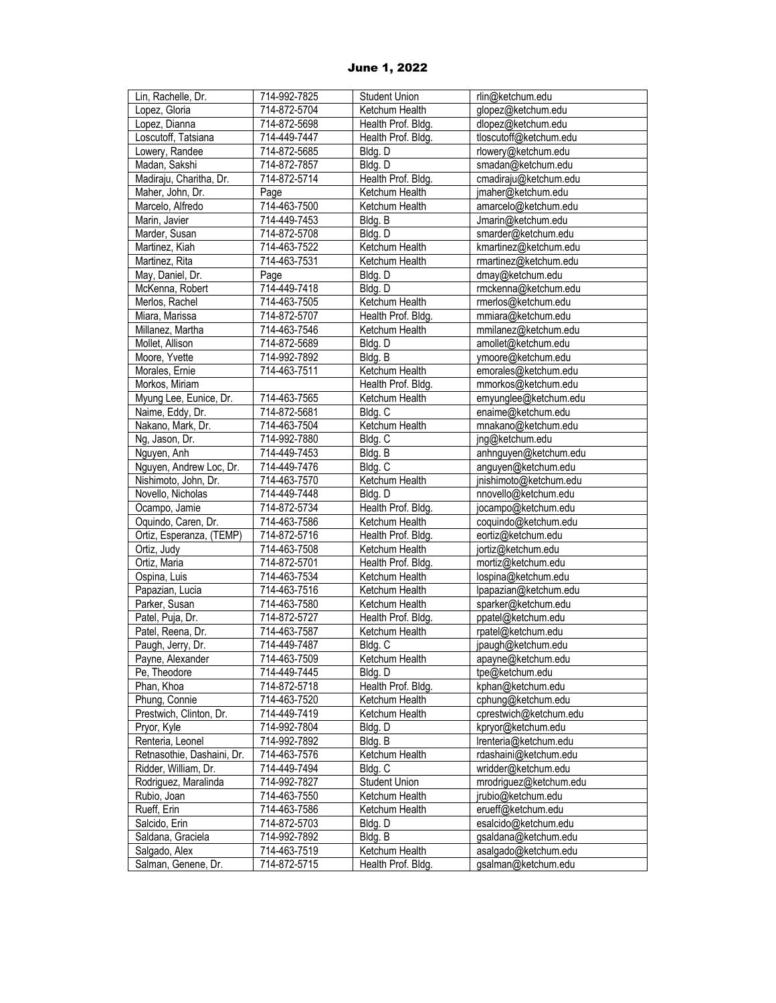|  |  | June 1, 2022 |
|--|--|--------------|
|--|--|--------------|

| Lin, Rachelle, Dr.                | 714-992-7825                 | <b>Student Union</b>  | rlin@ketchum.edu                      |
|-----------------------------------|------------------------------|-----------------------|---------------------------------------|
| Lopez, Gloria                     | 714-872-5704                 | Ketchum Health        | glopez@ketchum.edu                    |
| Lopez, Dianna                     | 714-872-5698                 | Health Prof. Bldg.    | dlopez@ketchum.edu                    |
| Loscutoff, Tatsiana               | 714-449-7447                 | Health Prof. Bldg.    | tloscutoff@ketchum.edu                |
| Lowery, Randee                    | 714-872-5685                 | Bldg. D               | rlowery@ketchum.edu                   |
| Madan, Sakshi                     | 714-872-7857                 | Bldg. D               | smadan@ketchum.edu                    |
| Madiraju, Charitha, Dr.           | 714-872-5714                 | Health Prof. Bldg.    | cmadiraju@ketchum.edu                 |
| Maher, John, Dr.                  | Page                         | Ketchum Health        | jmaher@ketchum.edu                    |
| Marcelo, Alfredo                  | 714-463-7500                 | Ketchum Health        | amarcelo@ketchum.edu                  |
| Marin, Javier                     | 714-449-7453                 | $\overline{B}$ ldg. B | Jmarin@ketchum.edu                    |
| Marder, Susan                     | 714-872-5708                 | Bldg. D               | smarder@ketchum.edu                   |
| Martinez, Kiah                    | 714-463-7522                 | Ketchum Health        | kmartinez@ketchum.edu                 |
| Martinez, Rita                    | 714-463-7531                 | Ketchum Health        | rmartinez@ketchum.edu                 |
| May, Daniel, Dr.                  | Page                         | Bldg. D               | dmay@ketchum.edu                      |
| McKenna, Robert                   | 714-449-7418                 | Bldg. D               | rmckenna@ketchum.edu                  |
| Merlos, Rachel                    | 714-463-7505                 | Ketchum Health        | rmerlos@ketchum.edu                   |
| Miara, Marissa                    | 714-872-5707                 | Health Prof. Bldg.    | mmiara@ketchum.edu                    |
| Millanez, Martha                  | 714-463-7546                 | Ketchum Health        | mmilanez@ketchum.edu                  |
| Mollet, Allison                   | 714-872-5689                 | Bldg. D               | amollet@ketchum.edu                   |
| Moore, Yvette                     | 714-992-7892                 | $\overline{B}$ ldg. B | ymoore@ketchum.edu                    |
| Morales, Ernie                    | 714-463-7511                 | Ketchum Health        | emorales@ketchum.edu                  |
| Morkos, Miriam                    |                              | Health Prof. Bldg.    | mmorkos@ketchum.edu                   |
| Myung Lee, Eunice, Dr.            | 714-463-7565                 | Ketchum Health        | emyunglee@ketchum.edu                 |
| Naime, Eddy, Dr.                  | 714-872-5681                 | Bldg. C               | enaime@ketchum.edu                    |
| Nakano, Mark, Dr.                 | 714-463-7504                 | Ketchum Health        | mnakano@ketchum.edu                   |
| Ng, Jason, Dr.                    | 714-992-7880                 | Bldg. C               | jng@ketchum.edu                       |
| Nguyen, Anh                       | 714-449-7453                 | Bldg. B               | anhnguyen@ketchum.edu                 |
| Nguyen, Andrew Loc, Dr.           | 714-449-7476                 | Bldg. C               | anguyen@ketchum.edu                   |
| Nishimoto, John, Dr.              | 714-463-7570                 | Ketchum Health        | jnishimoto@ketchum.edu                |
| Novello, Nicholas                 | 714-449-7448                 | Bldg. D               | nnovello@ketchum.edu                  |
| Ocampo, Jamie                     | 714-872-5734                 | Health Prof. Bldg.    | jocampo@ketchum.edu                   |
| Oquindo, Caren, Dr.               | 714-463-7586                 | Ketchum Health        | coquindo@ketchum.edu                  |
| Ortiz, Esperanza, (TEMP)          | 714-872-5716                 | Health Prof. Bldg.    | eortiz@ketchum.edu                    |
| Ortiz, Judy                       | 714-463-7508                 | Ketchum Health        | jortiz@ketchum.edu                    |
| Ortiz, Maria                      | 714-872-5701                 | Health Prof. Bldg.    | mortiz@ketchum.edu                    |
| Ospina, Luis                      | 714-463-7534                 | Ketchum Health        | lospina@ketchum.edu                   |
| Papazian, Lucia                   | 714-463-7516                 | Ketchum Health        | lpapazian@ketchum.edu                 |
|                                   | 714-463-7580                 | Ketchum Health        | sparker@ketchum.edu                   |
| Parker, Susan<br>Patel, Puja, Dr. |                              | Health Prof. Bldg.    |                                       |
| Patel, Reena, Dr.                 | 714-872-5727<br>714-463-7587 | Ketchum Health        | ppatel@ketchum.edu                    |
|                                   |                              |                       | rpatel@ketchum.edu                    |
| Paugh, Jerry, Dr.                 | 714-449-7487<br>714-463-7509 | Bldg. C               | jpaugh@ketchum.edu                    |
| Payne, Alexander                  | 714-449-7445                 | Ketchum Health        | apayne@ketchum.edu<br>tpe@ketchum.edu |
| Pe, Theodore                      |                              | Bldg. D               |                                       |
| Phan, Khoa                        | 714-872-5718                 | Health Prof. Bldg.    | kphan@ketchum.edu                     |
| Phung, Connie                     | 714-463-7520                 | Ketchum Health        | cphung@ketchum.edu                    |
| Prestwich, Clinton, Dr.           | 714-449-7419                 | Ketchum Health        | cprestwich@ketchum.edu                |
| Pryor, Kyle                       | 714-992-7804                 | Bldg. D               | kpryor@ketchum.edu                    |
| Renteria, Leonel                  | 714-992-7892                 | Bldg. B               | Irenteria@ketchum.edu                 |
| Retnasothie, Dashaini, Dr.        | 714-463-7576                 | Ketchum Health        | rdashaini@ketchum.edu                 |
| Ridder, William, Dr.              | 714-449-7494                 | Bldg. C               | wridder@ketchum.edu                   |
| Rodriguez, Maralinda              | 714-992-7827                 | <b>Student Union</b>  | mrodriguez@ketchum.edu                |
| Rubio, Joan                       | 714-463-7550                 | Ketchum Health        | jrubio@ketchum.edu                    |
| Rueff, Erin                       | 714-463-7586                 | Ketchum Health        | erueff@ketchum.edu                    |
| Salcido, Erin                     | 714-872-5703                 | Bldg. D               | esalcido@ketchum.edu                  |
| Saldana, Graciela                 | 714-992-7892                 | Bldg. B               | gsaldana@ketchum.edu                  |
| Salgado, Alex                     | 714-463-7519                 | Ketchum Health        | asalgado@ketchum.edu                  |
| Salman, Genene, Dr.               | 714-872-5715                 | Health Prof. Bldg.    | gsalman@ketchum.edu                   |